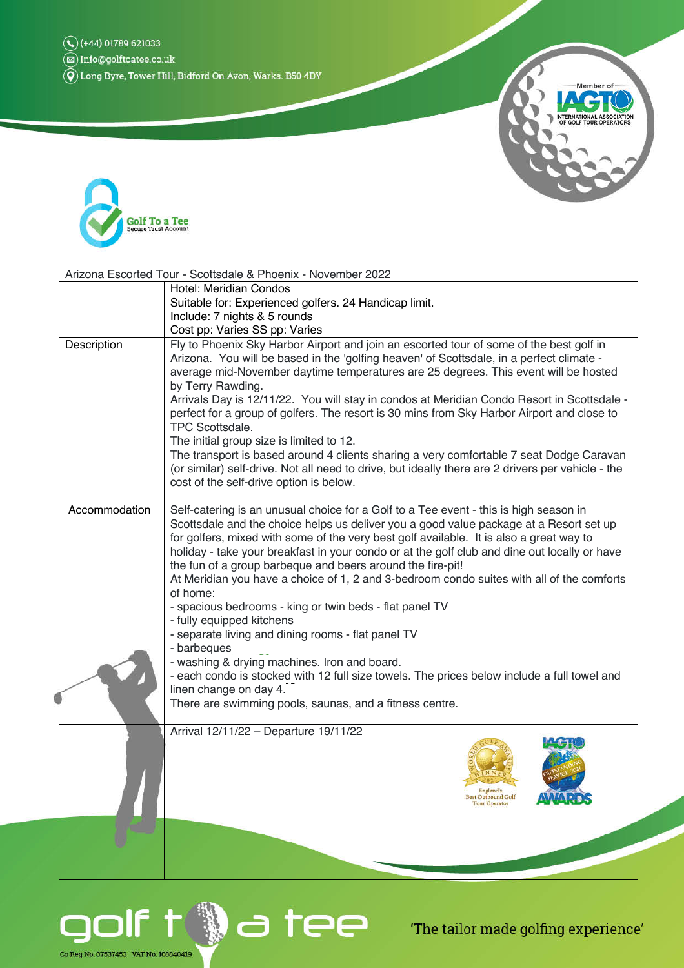$\left(\stackrel{\sim}{\mathbf{2}}\right)$  Info@golftoatee.co.uk

 $\widetilde{\left( \widehat{\mathbf{Q}}\right)}$  Long Byre, Tower Hill, Bidford On Avon, Warks. B50 4DY





| Arizona Escorted Tour - Scottsdale & Phoenix - November 2022 |                                                                                                                                                                                                                                                                                                                                                                                                                                                                                                                                                                                                                                                                                                                                                                                                       |
|--------------------------------------------------------------|-------------------------------------------------------------------------------------------------------------------------------------------------------------------------------------------------------------------------------------------------------------------------------------------------------------------------------------------------------------------------------------------------------------------------------------------------------------------------------------------------------------------------------------------------------------------------------------------------------------------------------------------------------------------------------------------------------------------------------------------------------------------------------------------------------|
|                                                              | <b>Hotel: Meridian Condos</b>                                                                                                                                                                                                                                                                                                                                                                                                                                                                                                                                                                                                                                                                                                                                                                         |
|                                                              | Suitable for: Experienced golfers. 24 Handicap limit.                                                                                                                                                                                                                                                                                                                                                                                                                                                                                                                                                                                                                                                                                                                                                 |
|                                                              | Include: 7 nights & 5 rounds                                                                                                                                                                                                                                                                                                                                                                                                                                                                                                                                                                                                                                                                                                                                                                          |
|                                                              | Cost pp: Varies SS pp: Varies                                                                                                                                                                                                                                                                                                                                                                                                                                                                                                                                                                                                                                                                                                                                                                         |
| Description                                                  | Fly to Phoenix Sky Harbor Airport and join an escorted tour of some of the best golf in<br>Arizona. You will be based in the 'golfing heaven' of Scottsdale, in a perfect climate -<br>average mid-November daytime temperatures are 25 degrees. This event will be hosted<br>by Terry Rawding.<br>Arrivals Day is 12/11/22. You will stay in condos at Meridian Condo Resort in Scottsdale -<br>perfect for a group of golfers. The resort is 30 mins from Sky Harbor Airport and close to<br>TPC Scottsdale.<br>The initial group size is limited to 12.<br>The transport is based around 4 clients sharing a very comfortable 7 seat Dodge Caravan<br>(or similar) self-drive. Not all need to drive, but ideally there are 2 drivers per vehicle - the<br>cost of the self-drive option is below. |
| Accommodation                                                | Self-catering is an unusual choice for a Golf to a Tee event - this is high season in<br>Scottsdale and the choice helps us deliver you a good value package at a Resort set up<br>for golfers, mixed with some of the very best golf available. It is also a great way to<br>holiday - take your breakfast in your condo or at the golf club and dine out locally or have<br>the fun of a group barbeque and beers around the fire-pit!<br>At Meridian you have a choice of 1, 2 and 3-bedroom condo suites with all of the comforts<br>of home:<br>- spacious bedrooms - king or twin beds - flat panel TV                                                                                                                                                                                          |
|                                                              | - fully equipped kitchens<br>- separate living and dining rooms - flat panel TV<br>- barbeques<br>- washing & drying machines. Iron and board.<br>- each condo is stocked with 12 full size towels. The prices below include a full towel and<br>linen change on day 4.<br>There are swimming pools, saunas, and a fitness centre.                                                                                                                                                                                                                                                                                                                                                                                                                                                                    |
|                                                              | Arrival 12/11/22 - Departure 19/11/22<br>ingland:<br>st Outbound Golf<br>our Operator                                                                                                                                                                                                                                                                                                                                                                                                                                                                                                                                                                                                                                                                                                                 |
|                                                              |                                                                                                                                                                                                                                                                                                                                                                                                                                                                                                                                                                                                                                                                                                                                                                                                       |



'The tailor made golfing experience'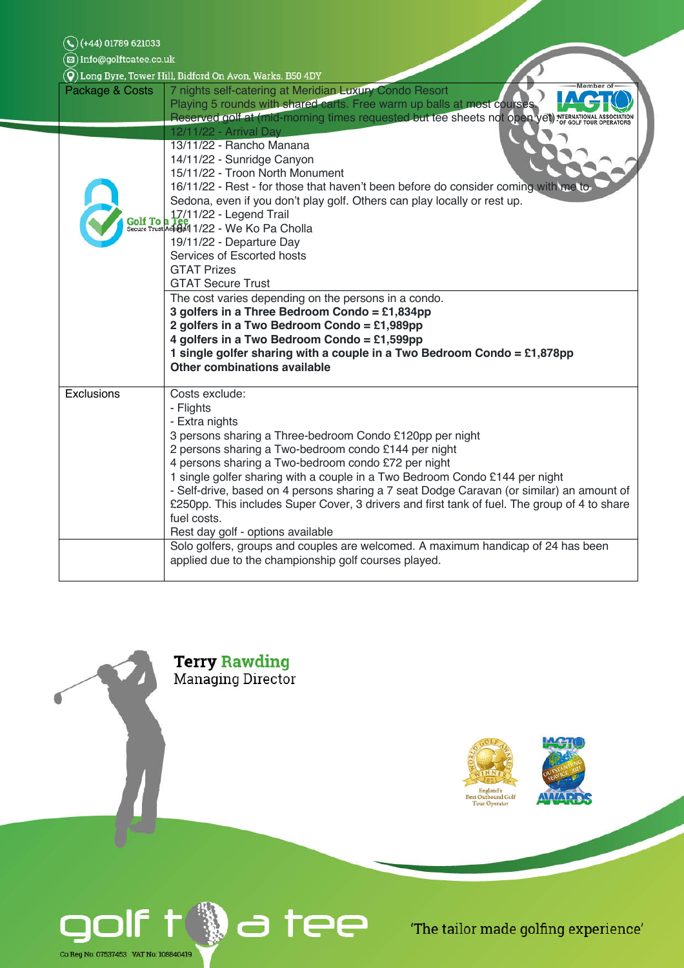| (+44) 01789 621033                                        |                                                                                                                                                                                                                                                                                                                                                                                                                                                                                                                                                                                                                                                                                      |  |
|-----------------------------------------------------------|--------------------------------------------------------------------------------------------------------------------------------------------------------------------------------------------------------------------------------------------------------------------------------------------------------------------------------------------------------------------------------------------------------------------------------------------------------------------------------------------------------------------------------------------------------------------------------------------------------------------------------------------------------------------------------------|--|
| 図) Info@golftoatee.co.uk                                  |                                                                                                                                                                                                                                                                                                                                                                                                                                                                                                                                                                                                                                                                                      |  |
| O) Long Byre, Tower Hill, Bidford On Avon, Warks. B50 4DY |                                                                                                                                                                                                                                                                                                                                                                                                                                                                                                                                                                                                                                                                                      |  |
| Package & Costs                                           | Member o'<br>7 nights self-catering at Meridian Luxury Condo Resort<br>Playing 5 rounds with shared carts. Free warm up balls at most courses.<br>Reserved golf at (mid-morning times requested but tee sheets not open yet) NTERNATIONAL A                                                                                                                                                                                                                                                                                                                                                                                                                                          |  |
|                                                           | 12/11/22 - Arrival Day                                                                                                                                                                                                                                                                                                                                                                                                                                                                                                                                                                                                                                                               |  |
|                                                           | 13/11/22 - Rancho Manana<br>14/11/22 - Sunridge Canyon<br>15/11/22 - Troon North Monument<br>16/11/22 - Rest - for those that haven't been before do consider coming with me to<br>Sedona, even if you don't play golf. Others can play locally or rest up.<br>17/11/22 - Legend Trail<br>19/11/22 - Departure Day<br>Services of Escorted hosts<br><b>GTAT Prizes</b><br><b>GTAT Secure Trust</b><br>The cost varies depending on the persons in a condo.<br>3 golfers in a Three Bedroom Condo = £1,834pp<br>2 golfers in a Two Bedroom Condo = £1,989pp<br>4 golfers in a Two Bedroom Condo = £1,599pp<br>1 single golfer sharing with a couple in a Two Bedroom Condo = £1,878pp |  |
|                                                           | <b>Other combinations available</b>                                                                                                                                                                                                                                                                                                                                                                                                                                                                                                                                                                                                                                                  |  |
| Exclusions                                                | Costs exclude:<br>- Flights<br>- Extra nights<br>3 persons sharing a Three-bedroom Condo £120pp per night<br>2 persons sharing a Two-bedroom condo £144 per night<br>4 persons sharing a Two-bedroom condo £72 per night<br>1 single golfer sharing with a couple in a Two Bedroom Condo £144 per night<br>- Self-drive, based on 4 persons sharing a 7 seat Dodge Caravan (or similar) an amount of<br>£250pp. This includes Super Cover, 3 drivers and first tank of fuel. The group of 4 to share<br>fuel costs.<br>Rest day golf - options available                                                                                                                             |  |
|                                                           | Solo golfers, groups and couples are welcomed. A maximum handicap of 24 has been<br>applied due to the championship golf courses played.                                                                                                                                                                                                                                                                                                                                                                                                                                                                                                                                             |  |



Г





'The tailor made golfing experience'